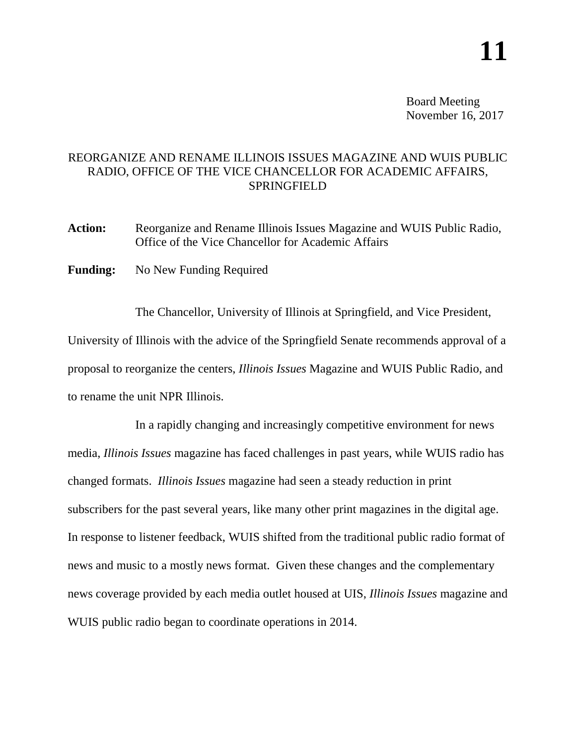Board Meeting November 16, 2017

## REORGANIZE AND RENAME ILLINOIS ISSUES MAGAZINE AND WUIS PUBLIC RADIO, OFFICE OF THE VICE CHANCELLOR FOR ACADEMIC AFFAIRS, SPRINGFIELD

- **Action:** Reorganize and Rename Illinois Issues Magazine and WUIS Public Radio, Office of the Vice Chancellor for Academic Affairs
- **Funding:** No New Funding Required

The Chancellor, University of Illinois at Springfield, and Vice President, University of Illinois with the advice of the Springfield Senate recommends approval of a proposal to reorganize the centers, *Illinois Issues* Magazine and WUIS Public Radio, and to rename the unit NPR Illinois.

In a rapidly changing and increasingly competitive environment for news media, *Illinois Issues* magazine has faced challenges in past years, while WUIS radio has changed formats. *Illinois Issues* magazine had seen a steady reduction in print subscribers for the past several years, like many other print magazines in the digital age. In response to listener feedback, WUIS shifted from the traditional public radio format of news and music to a mostly news format. Given these changes and the complementary news coverage provided by each media outlet housed at UIS, *Illinois Issues* magazine and WUIS public radio began to coordinate operations in 2014.